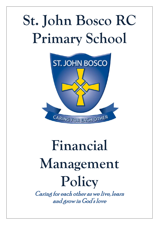## **St. John Bosco RC Primary School**



# **Financial Management Policy**

Caring for each other as we live, learn and grow in God's love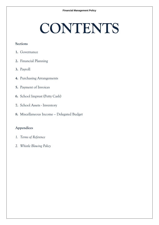### **CONTENTS**

#### **Sections**

- **1.** Governance
- **2.** Financial Planning
- **3.** Payroll
- **4.** Purchasing Arrangements
- **5.** Payment of Invoices
- **6.** School Imprest (Petty Cash)
- **7.** School Assets Inventory
- **8.** Miscellaneous Income Delegated Budget

#### **Appendices**

- *1. Terms of Reference*
- *2. Whistle Blowing Policy*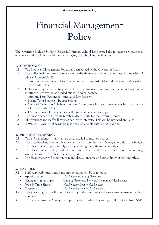### Financial Management **Policy**

The governing body of St. John Bosco RC Primary School have agreed the following procedures to enable it to fulfill all responsibilities in managing the school and its finances.

#### **1. GOVERNANCE**

- 1.1 The Financial Management Policy has been agreed by the Governing Body.
- 1.2 The policy includes terms of reference for the finance and other committees, in line with LA advice *(See Appendix 1).*
- 1.3 Terms of reference include Headteacher and staff responsibilities and the value of delegations to the Headteacher.
- 1.4 Full Governing Body meetings are held termly, finance committee and personnel committee meetings are convened as needed but will always include:
	- Autumn Term Personnel Annual Salary Reviews
	- Spring Term Finance Budget Setting
	- Chair of Governors/Chair of Finance Committee will meet informally at least half termly with the Headteacher.
	- LA Governors Clerking Service will minute all formal meetings.
- 1.5 The Headteacher will provide termly budget reports for the governing body.
- 1.6 All governors and staff will register pecuniary interests. This will be reviewed annually.
- 1.7 A Whistle Blowing Policy will be made available to all staff *(See Appendix 2).*

#### **2. FINANCIAL PLANNING**

- 2.1 The SIP will identify financial resources needed to meet objectives.
- 2.2 The Headteacher, Deputy Headteacher and School Business Manager monitor the budget. The Headteacher reports termly to the governing body/finance committee.
- 2.3 The Headteacher will provide an outrun forecast and other relevant information (e.g. virements) within the Headteacher's report.
- 2.4 The Headteacher will monitor, sign and date all income and expenditure at least monthly.

#### **3. PAYROLL**

- 3.1 Staff responsibilities/authorization/signatures will be as follows:
	- Appointments *Headteacher/Chair of Governors*
	- Changes in rates of pay *Chair of Governors/Personnel Committee/Headteacher*
	- Weekly Time Sheets *Headteacher/Deputy Headteacher*
	- Overtime *Headteacher/Deputy Headteacher*
- 3.2 The governing body will monitor staffing ratios and review the structure as needed at least annually.
- 3.3 The School Business Manager will provide the Headteacher with payroll printouts from SAP.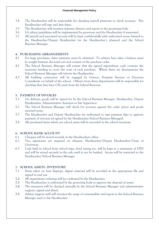- 3.4 The Headteacher will be responsible for checking payroll printouts to check accuracy. The Headteacher will sign and date these.
- 3.5 The Headteacher will monitor sickness/absence and report to the governing body.
- 3.6 LA advice/guidelines will be implemented by governors and the Headteacher if warranted.
- 3.7 All payroll and associated records will be kept confidentially with authorized access limited to the Headteacher/Deputy Headteacher (in the Headteacher's absence) and the School Business Manager.

#### **4. PURCHASING ARRANGEMENTS**

- 4.1 For large purchases, three estimates must be obtained. To achieve best value a balance must be sought between the total cost and content of the purchase order.
- 4.2 The School Business Manager will ensure that the agreed expenditure code contains the necessary funding to cover the costs of each purchase. Where there are discrepancies the School Business Manager will inform the Headteacher.
- 4.3 All building contractors will be engaged by Gentoo, Property Services or Diocesan Consultants on behalf of the school. Officers from these departments will be responsible for checking that they have CIS cards from the Inland Revenue.

#### **5. PAYMENT OF INVOICES**

- 5.1 On delivery, goods will be signed for by the School Business Manager, Headteacher, Deputy Headteacher, Administrative Assistant or Site Supervisor.
- 5.2 The School Business Manager will check for accuracy against the order prices and goods received notes.
- 5.3 The Headteacher and Deputy Headteacher are authorised to sign payment slips to approve payment of invoices (as agreed by the Headteacher/School Business Manager).
- 5.4 All purchased items which are school assets will be recorded in the school inventory.

#### **6. SCHOOL BANK ACCOUNT**

- 6.1 Cheques will be stored securely in the Headteachers office.
- 6.2 Two signatories are required on cheques: Headteacher/Deputy Headteacher/Chair of Governors.
- 6.3 Cash held in school from school trips, fund raising etc. will be kept to a minimum of £500 and will be stored securely in the safe until it can be banked. Access will be restricted to the Headteacher/School Business Manager.

#### **7. SCHOOL ASSETS - INVENTORY**

- 7.1 Items taken on loan (laptops, digital cameras) will be recorded in the appropriate file and signed in and out.
- **7.2** All requisitions/ordering will be confirmed by the Headteacher.
- **7.3** The Headteacher is authorised by the governing body to approve the disposal of assets.
- **7.4** The inventory will be checked annually by the School Business Manager and administrative support, signed and dated.
- **7.5** Admin support staff will monitor the usage of consumables and report to the School Business Manager and/or the Headteacher.